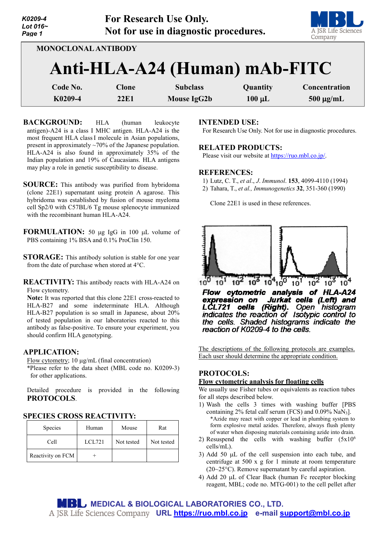| K0209-4<br>Lot $016-$<br>Page 1 |                                                             | <b>For Research Use Only.</b><br>Not for use in diagnostic procedures. |             | A JSR Life Sciences<br>Company |
|---------------------------------|-------------------------------------------------------------|------------------------------------------------------------------------|-------------|--------------------------------|
|                                 | <b>MONOCLONAL ANTIBODY</b><br>Anti-HLA-A24 (Human) mAb-FITC |                                                                        |             |                                |
|                                 |                                                             |                                                                        |             |                                |
| Code No.                        | <b>Clone</b>                                                | <b>Subclass</b>                                                        | Quantity    | Concentration                  |
| K0209-4                         | <b>22E1</b>                                                 | <b>Mouse IgG2b</b>                                                     | $100 \mu L$ | $500 \mu g/mL$                 |

**BACKGROUND:** HLA (human leukocyte antigen)-A24 is a class I MHC antigen. HLA-A24 is the most frequent HLA classI molecule in Asian populations, present in approximately ~70% of the Japanese population. HLA-A24 is also found in approximately 35% of the Indian population and 19% of Caucasians. HLA antigens may play a role in genetic susceptibility to disease.

- **SOURCE:** This antibody was purified from hybridoma (clone 22E1) supernatant using protein A agarose. This hybridoma was established by fusion of mouse myeloma cell Sp2/0 with C57BL/6 Tg mouse splenocyte immunized with the recombinant human HLA-A24.
- **FORMULATION:** 50 µg IgG in 100 µL volume of PBS containing 1% BSA and 0.1% ProClin 150.
- **STORAGE:** This antibody solution is stable for one year from the date of purchase when stored at 4°C.

**REACTIVITY:** This antibody reacts with HLA-A24 on Flow cytometry.

**Note:** It was reported that this clone 22E1 cross-reacted to HLA-B27 and some indeterminate HLA. Although HLA-B27 population is so small in Japanese, about 20% of tested population in our laboratories reacted to this antibody as false-positive. To ensure your experiment, you should confirm HLA genotyping.

# **APPLICATION:**

Flow cytometry; 10 µg/mL (final concentration)

\*Please refer to the data sheet (MBL code no. K0209-3) for other applications.

Detailed procedure is provided in the following **PROTOCOLS**.

## **SPECIES CROSS REACTIVITY:**

| <b>Species</b>    | Human  | Mouse      | Rat        |
|-------------------|--------|------------|------------|
| Cell              | LCL721 | Not tested | Not tested |
| Reactivity on FCM |        |            |            |

### **INTENDED USE:**

For Research Use Only. Not for use in diagnostic procedures.

#### **RELATED PRODUCTS:**

Please visit our website at [https://ruo.mbl.co.jp/.](https://ruo.mbl.co.jp/)

## **REFERENCES:**

- 1) Lutz, C. T., *et al*., *J*. *Immunol*. **153**, 4099-4110 (1994)
- 2) Tahara, T., *et al., Immunogenetics* **32**, 351-360 (1990)

Clone 22E1 is used in these references.



Flow cytometric analysis of HLA-A24 expression on Jurkat cells (Left) and<br>LCL721 cells (Right). Open histogram<br>indicates the reaction of Isotypic control to the cells. Shaded histograms indicate the reaction of K0209-4 to the cells.

The descriptions of the following protocols are examples. Each user should determine the appropriate condition.

## **PROTOCOLS:**

# **Flow cytometric analysis for floating cells**

We usually use Fisher tubes or equivalents as reaction tubes for all steps described below.

- 1) Wash the cells 3 times with washing buffer [PBS containing 2% fetal calf serum (FCS) and  $0.09\%$  NaN<sub>3</sub>]. \*Azide may react with copper or lead in plumbing system to form explosive metal azides. Therefore, always flush plenty of water when disposing materials containing azide into drain.
- 2) Resuspend the cells with washing buffer  $(5x10^6)$ cells/mL).
- 3) Add 50 µL of the cell suspension into each tube, and centrifuge at 500 x g for 1 minute at room temperature (20~25°C). Remove supernatant by careful aspiration.
- 4) Add 20 µL of Clear Back (human Fc receptor blocking reagent, MBL; code no. MTG-001) to the cell pellet after